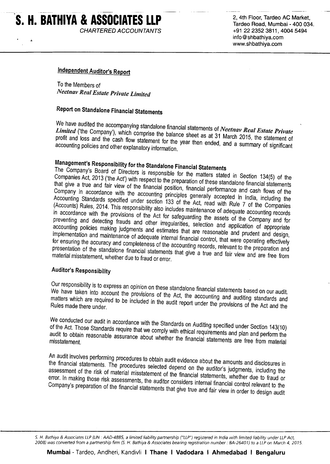# S. H. BATHIYA & ASSOCIATES LLP **CHARTERED ACCOUNTANTS**

2, 4th Floor, Tardeo AC Market. Tardeo Road, Mumbai - 400 034. +91 22 2352 3811, 4004 5494 info@shbathiya.com www.shbathiya.com

## **Independent Auditor's Report**

To the Members of **Neetnav Real Estate Private Limited** 

# Report on Standalone Financial Statements

We have audited the accompanying standalone financial statements of Neetnav Real Estate Private Limited ('the Company'), which comprise the balance sheet as at 31 March 2015, the statement of profit and loss and the cash flow statement for the year then ended, and a summary of significant accounting policies and other explanatory information.

# Management's Responsibility for the Standalone Financial Statements

The Company's Board of Directors is responsible for the matters stated in Section 134(5) of the Companies Act, 2013 ('the Act') with respect to the preparation of these standalone financial statements that give a true and fair view of the financial position, financial performance and cash flows of the Company in accordance with the accounting principles generally accepted in India, including the Accounting Standards specified under section 133 of the Act, read with Rule 7 of the Companies (Accounts) Rules, 2014. This responsibility also includes maintenance of adequate accounting records in accordance with the provisions of the Act for safeguarding the assets of the Company and for preventing and detecting frauds and other irregularities, selection and application of appropriate accounting policies making judgments and estimates that are reasonable and prudent and design, implementation and maintenance of adequate internal financial control, that were operating effectively for ensuring the accuracy and completeness of the accounting records, relevant to the preparation and presentation of the standalone financial statements that give a true and fair view and are free from material misstatement, whether due to fraud or error.

## **Auditor's Responsibility**

Our responsibility is to express an opinion on these standalone financial statements based on our audit. We have taken into account the provisions of the Act, the accounting and auditing standards and matters which are required to be included in the audit report under the provisions of the Act and the

We conducted our audit in accordance with the Standards on Auditing specified under Section 143(10) of the Act. Those Standards require that we comply with ethical requirements and plan and perform the audit to obtain reasonable assurance about whether the financial statements are free from material

An audit involves performing procedures to obtain audit evidence about the amounts and disclosures in the financial statements. The procedures selected depend on the auditor's judgments, including the assessment of the risk of material misstatement of the financial statements, whether due to fraud or error. In making those risk assessments, the auditor considers internal financial control relevant to the Company's preparation of the financial statements that give true and fair view in order to design audit

S. H. Bathiya & Associates LLP (LIN: AAD-4885, a limited liability partnership ("LLP") registered in India with limited liability under LLP Act, 2008) was converted from a partnership firm (S. H. Bathiya & Associates bearing registration number : BA-26401) to a LLP on March 4, 2015.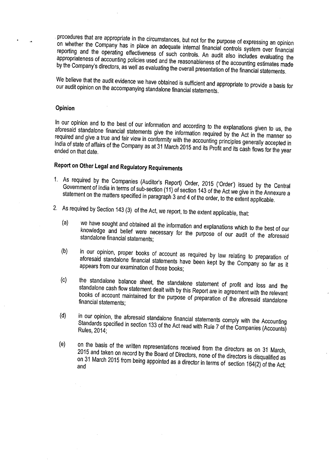procedures that are appropriate in the circumstances, but not for the purpose of expressing an opinion on whether the Company has in place an adequate internal financial controls system over financial reporting and the operating effectiveness of such controls. An audit also includes evaluating the appropriateness of accounting policies used and the reasonableness of the accounting estimates made by the Company's directors, as well as evaluating the overall presentation of the financial statements.

We believe that the audit evidence we have obtained is sufficient and appropriate to provide a basis for our audit opinion on the accompanying standalone financial statements.

#### Opinion

In our opinion and to the best of our information and according to the explanations given to us, the aforesaid standalone financial statements give the information required by the Act in the manner so required and give a true and fair view in conformity with the accounting principles generally accepted in India of state of affairs of the Company as at 31 March 2015 and its Profit and its cash flows for the year

# Report on Other Legal and Regulatory Requirements

- 1. As required by the Companies (Auditor's Report) Order, 2015 ('Order') issued by the Central Government of India in terms of sub-section (11) of section 143 of the Act we give in the Annexure a statement on the matters specified in paragraph 3 and 4 of the order, to the extent applicable.
- 2. As required by Section 143 (3) of the Act, we report, to the extent applicable, that:
	- we have sought and obtained all the information and explanations which to the best of our  $(a)$ knowledge and belief were necessary for the purpose of our audit of the aforesaid standalone financial statements;
	- in our opinion, proper books of account as required by law relating to preparation of  $(b)$ aforesaid standalone financial statements have been kept by the Company so far as it appears from our examination of those books;
	- the standalone balance sheet, the standalone statement of profit and loss and the  $(c)$ standalone cash flow statement dealt with by this Report are in agreement with the relevant books of account maintained for the purpose of preparation of the aforesaid standalone financial statements;
	- in our opinion, the aforesaid standalone financial statements comply with the Accounting  $(d)$ Standards specified in section 133 of the Act read with Rule 7 of the Companies (Accounts) Rules, 2014;
	- on the basis of the written representations received from the directors as on 31 March,  $(e)$ 2015 and taken on record by the Board of Directors, none of the directors is disqualified as on 31 March 2015 from being appointed as a director in terms of section 164(2) of the Act;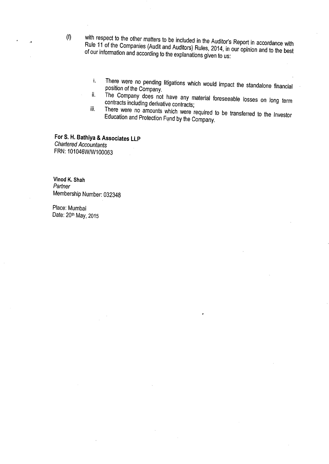- with respect to the other matters to be included in the Auditor's Report in accordance with Rule 11 of the Companies (Audit and Auditors) Rules, 2014, in our opinion and to the best of our information and according to the explanations given to us:
	- There were no pending litigations which would impact the standalone financial i. position of the Company.
	- The Company does not have any material foreseeable losses on long term ii. contracts including derivative contracts; iii.
	- There were no amounts which were required to be transferred to the Investor Education and Protection Fund by the Company.

For S. H. Bathiya & Associates LLP **Chartered Accountants** FRN: 101046W/W100063

Vinod K. Shah Partner Membership Number: 032348

Place: Mumbai Date: 20th May, 2015

 $(f)$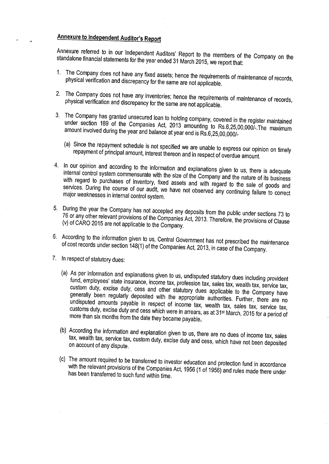# **Annexure to Independent Auditor's Report**

Annexure referred to in our Independent Auditors' Report to the members of the Company on the standalone financial statements for the year ended 31 March 2015, we report that:

- 1. The Company does not have any fixed assets; hence the requirements of maintenance of records, physical verification and discrepancy for the same are not applicable.
- 2. The Company does not have any inventories; hence the requirements of maintenance of records, physical verification and discrepancy for the same are not applicable.
- 3. The Company has granted unsecured loan to holding company, covered in the register maintained under section 189 of the Companies Act, 2013 amounting to Rs.6,25,00,000/-. The maximum amount involved during the year and balance at year end is Rs.6,25,00,000/-
	- (a) Since the repayment schedule is not specified we are unable to express our opinion on timely repayment of principal amount, interest thereon and in respect of overdue amount.
- 4. In our opinion and according to the information and explanations given to us, there is adequate internal control system commensurate with the size of the Company and the nature of its business with regard to purchases of inventory, fixed assets and with regard to the sale of goods and services. During the course of our audit, we have not observed any continuing failure to correct major weaknesses in internal control system.
- 5. During the year the Company has not accepted any deposits from the public under sections 73 to 76 or any other relevant provisions of the Companies Act, 2013. Therefore, the provisions of Clause (v) of CARO 2015 are not applicable to the Company.
- 6. According to the information given to us, Central Government has not prescribed the maintenance of cost records under section 148(1) of the Companies Act, 2013, in case of the Company.
- 7. In respect of statutory dues:
	- (a) As per information and explanations given to us, undisputed statutory dues including provident fund, employees' state insurance, income tax, profession tax, sales tax, wealth tax, service tax, custom duty, excise duty, cess and other statutory dues applicable to the Company have generally been regularly deposited with the appropriate authorities. Further, there are no undisputed amounts payable in respect of income tax, wealth tax, sales tax, service tax, customs duty, excise duty and cess which were in arrears, as at 31<sup>st</sup> March, 2015 for a period of more than six months from the date they became payable.
	- (b) According the information and explanation given to us, there are no dues of income tax, sales tax, wealth tax, service tax, custom duty, excise duty and cess, which have not been deposited on account of any dispute.
	- (c) The amount required to be transferred to investor education and protection fund in accordance with the relevant provisions of the Companies Act, 1956 (1 of 1956) and rules made there under has been transferred to such fund within time.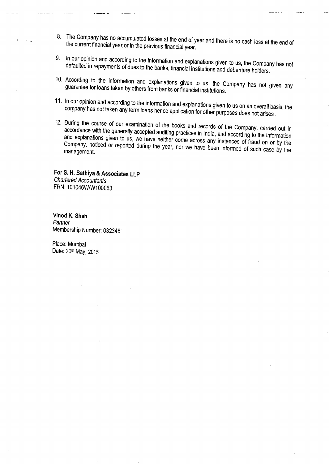- 8. The Company has no accumulated losses at the end of year and there is no cash loss at the end of the current financial year or in the previous financial year.
- 9. In our opinion and according to the information and explanations given to us, the Company has not defaulted in repayments of dues to the banks, financial institutions and debenture holders.
- 10. According to the information and explanations given to us, the Company has not given any guarantee for loans taken by others from banks or financial institutions.
- 11. In our opinion and according to the information and explanations given to us on an overall basis, the company has not taken any term loans hence application for other purposes does not arises.
- 12. During the course of our examination of the books and records of the Company, carried out in accordance with the generally accepted auditing practices in India, and according to the information and explanations given to us, we have neither come across any instances of fraud on or by the Company, noticed or reported during the year, nor we have been informed of such case by the management.

For S. H. Bathiya & Associates LLP **Chartered Accountants** FRN: 101046W/W100063

Vinod K. Shah Partner Membership Number: 032348

Place: Mumbai Date: 20th May, 2015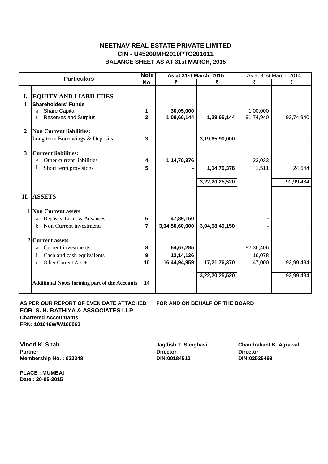## **CIN - U45200MH2010PTC201611 NEETNAV REAL ESTATE PRIVATE LIMITED BALANCE SHEET AS AT 31st MARCH, 2015**

| <b>Particulars</b> |                                                                                                                                         | <b>Note</b>         |                                        | As at 31st March, 2015        |                               | As at 31st March, 2014 |  |
|--------------------|-----------------------------------------------------------------------------------------------------------------------------------------|---------------------|----------------------------------------|-------------------------------|-------------------------------|------------------------|--|
|                    |                                                                                                                                         | No.                 | ₹                                      | ₹                             | ₹                             | ₹                      |  |
| I.<br>1            | <b>EQUITY AND LIABILITIES</b><br><b>Shareholders' Funds</b><br><b>Share Capital</b><br>a<br><b>Reserves and Surplus</b><br><sub>b</sub> | 1<br>$\overline{2}$ | 30,05,000<br>1,09,60,144               | 1,39,65,144                   | 1,00,000<br>91,74,940         | 92,74,940              |  |
| $\mathbf{2}$       | Non Current liabilities:<br>Long term Borrowings & Deposits                                                                             | 3                   |                                        | 3,19,65,90,000                |                               |                        |  |
| 3                  | <b>Current liabilities:</b><br>Other current liabilities<br>a<br>Short term provisions<br>b                                             | 4<br>5              | 1,14,70,376                            | 1,14,70,376<br>3,22,20,25,520 | 23,033<br>1,511               | 24,544<br>92,99,484    |  |
|                    | II. ASSETS                                                                                                                              |                     |                                        |                               |                               |                        |  |
|                    | <b>1 Non Current assets</b><br>Deposits, Loans & Advances<br>a<br>Non Current investments<br>h.                                         | 6<br>7              | 47,89,150<br>3,04,50,60,000            | 3,04,98,49,150                |                               |                        |  |
|                    | 2 Current assets                                                                                                                        |                     |                                        |                               |                               |                        |  |
|                    | <b>Current</b> investments<br>a<br>Cash and cash equivalents<br>b<br><b>Other Current Assets</b><br>$\mathbf{c}$                        | 8<br>9<br>10        | 64,67,285<br>12,14,126<br>16,44,94,959 | 17,21,76,370                  | 92,36,406<br>16,078<br>47,000 | 92,99,484              |  |
|                    | <b>Additional Notes forming part of the Accounts</b>                                                                                    | 14                  |                                        | 3,22,20,25,520                |                               | 92,99,484              |  |

### **AS PER OUR REPORT OF EVEN DATE ATTACHED FOR AND ON BEHALF OF THE BOARD FOR S. H. BATHIYA & ASSOCIATES LLP Chartered Accountants FRN: 101046W/W100063**

**Partner Director Director Membership No. : 032348 DIN:00184512 DIN:02525499** 

**PLACE : MUMBAI Date : 20-05-2015**

**Vinod K. Shah Jagdish T. Sanghavi Chandrakant K. Agrawal**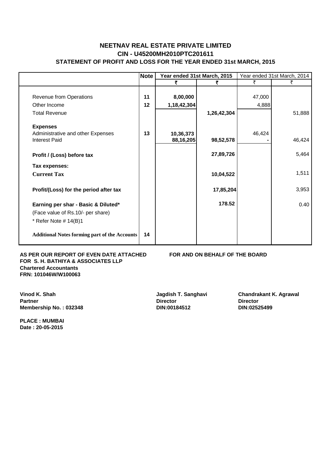## **CIN - U45200MH2010PTC201611 NEETNAV REAL ESTATE PRIVATE LIMITED STATEMENT OF PROFIT AND LOSS FOR THE YEAR ENDED 31st MARCH, 2015**

|                                                      | <b>Note</b> | Year ended 31st March, 2015 |             |        | Year ended 31st March, 2014 |
|------------------------------------------------------|-------------|-----------------------------|-------------|--------|-----------------------------|
|                                                      |             | ₹                           | ₹           | ₹      | ₹                           |
|                                                      |             |                             |             |        |                             |
| Revenue from Operations                              | 11          | 8,00,000                    |             | 47,000 |                             |
| Other Income                                         | 12          | 1,18,42,304                 |             | 4,888  |                             |
| <b>Total Revenue</b>                                 |             |                             | 1,26,42,304 |        | 51,888                      |
| <b>Expenses</b>                                      |             |                             |             |        |                             |
| Administrative and other Expenses                    | 13          | 10,36,373                   |             | 46,424 |                             |
| <b>Interest Paid</b>                                 |             | 88,16,205                   | 98,52,578   |        | 46,424                      |
| Profit / (Loss) before tax                           |             |                             | 27,89,726   |        | 5,464                       |
| Tax expenses:                                        |             |                             |             |        |                             |
| <b>Current Tax</b>                                   |             |                             | 10,04,522   |        | 1,511                       |
| Profit/(Loss) for the period after tax               |             |                             | 17,85,204   |        | 3,953                       |
| Earning per shar - Basic & Diluted*                  |             |                             | 178.52      |        | 0.40                        |
| (Face value of Rs.10/- per share)                    |             |                             |             |        |                             |
| * Refer Note $# 14(B)1$                              |             |                             |             |        |                             |
| <b>Additional Notes forming part of the Accounts</b> | 14          |                             |             |        |                             |

AS PER OUR REPORT OF EVEN DATE ATTACHED FOR AND ON BEHALF OF THE BOARD **FOR S. H. BATHIYA & ASSOCIATES LLP Chartered Accountants FRN: 101046W/W100063**

**Partner Director Director Membership No. : 032348 DIN:00184512 DIN:02525499** 

**PLACE : MUMBAI Date : 20-05-2015**

**Vinod K. Shah Jagdish T. Sanghavi Chandrakant K. Agrawal**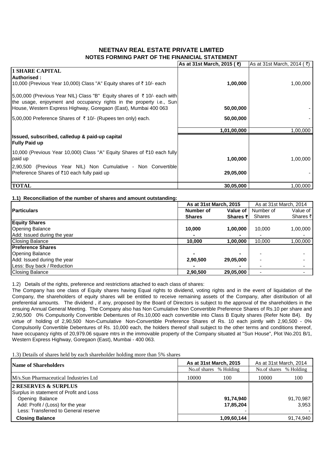## **NEETNAV REAL ESTATE PRIVATE LIMITED NOTES FORMING PART OF THE FINANICIAL STATEMENT**

|                                                                                                                                                 | As at 31st March, 2015 (₹) | As at 31st March, 2014 ( $\bar{\tau}$ ) |
|-------------------------------------------------------------------------------------------------------------------------------------------------|----------------------------|-----------------------------------------|
| <b>1 SHARE CAPITAL</b>                                                                                                                          |                            |                                         |
| <b>Authorised:</b>                                                                                                                              |                            |                                         |
| 10,000 (Previous Year 10,000) Class "A" Equity shares of ₹10/- each                                                                             | 1,00,000                   | 1,00,000                                |
| 15,00,000 (Previous Year NIL) Class "B" Equity shares of ₹10/- each with<br>the usage, enjoyment and occupancy rights in the property i.e., Sun |                            |                                         |
| House, Western Express Highway, Goregaon (East), Mumbai 400 063                                                                                 | 50,00,000                  |                                         |
| $ 5,00,000$ Preference Shares of ₹ 10/- (Rupees ten only) each.                                                                                 | 50,00,000                  |                                         |
|                                                                                                                                                 | 1,01,00,000                | 1,00,000                                |
| Issued, subscribed, calledup & paid-up capital<br><b>Fully Paid up</b>                                                                          |                            |                                         |
| 10,000 (Previous Year 10,000) Class "A" Equity Shares of ₹10 each fully <br>paid up                                                             | 1,00,000                   | 1,00,000                                |
| 2,90,500 (Previous Year NIL) Non Cumulative - Non Convertible                                                                                   |                            |                                         |
| Preference Shares of ₹10 each fully paid up                                                                                                     | 29,05,000                  |                                         |
| <b>TOTAL</b>                                                                                                                                    | 30,05,000                  | 1,00,000                                |

#### **1.1) Reconciliation of the number of shares and amount outstanding:**

|                             | As at 31st March, 2015 |                  |               | As at 31st March, 2014 |
|-----------------------------|------------------------|------------------|---------------|------------------------|
| <b>Particulars</b>          | Number of              | Value of I       | Number of     | Value of               |
|                             | <b>Shares</b>          | <b>Shares ₹I</b> | <b>Shares</b> | Shares ₹               |
| <b>Equity Shares</b>        |                        |                  |               |                        |
| <b>Opening Balance</b>      | 10,000                 | 1,00,000         | 10.000        | 1,00,000               |
| Add: Issued during the year |                        |                  |               |                        |
| <b>Closing Balance</b>      | 10,000                 | 1,00,000         | 10.000        | 1,00,000               |
| <b>Preference Shares</b>    |                        |                  |               |                        |
| <b>Opening Balance</b>      |                        |                  |               |                        |
| Add: Issued during the year | 2,90,500               | 29,05,000        |               |                        |
| Less: Buy back / Reduction  |                        |                  |               |                        |
| <b>Closing Balance</b>      | 2,90,500               | 29,05,000        |               |                        |

1.2) Details of the rights, preference and restrictions attached to each class of shares:

The Company has one class of Equity shares having Equal rights to dividend, voting rights and in the event of liquidation of the Company, the shareholders of equity shares will be entitled to receive remaining assets of the Company, after distribution of all preferential amounts. The dividend , if any, proposed by the Board of Directors is subject to the approval of the shareholders in the ensuing Annual General Meeting. The Company also has Non Cumulative Non Convertible Preference Shares of Rs.10 per share and 2,90,500 0% Compulsorily Convertible Debentures of Rs.10,000 each convertible into Class B Equity shares (Refer Note B4). By virtue of holding of 2,90,500 Non-Cumulative Non-Convertible Preference Shares of Rs. 10 each jointly with 2,90,500 - 0% Compulsorily Convertible Debentures of Rs. 10,000 each, the holders thereof shall subject to the other terms and conditions thereof, have occupancy rights of 20,979.06 square mtrs in the immovable property of the Company situated at "Sun House", Plot \No.201 B/1, Western Express Highway, Goregaon (East), Mumbai - 400 063.

1.3) Details of shares held by each shareholder holding more than 5% shares

| <b>Name of Shareholders</b>                                                                                                                                     | As at 31st March, 2015 |                        | As at 31st March, 2014 |                    |
|-----------------------------------------------------------------------------------------------------------------------------------------------------------------|------------------------|------------------------|------------------------|--------------------|
|                                                                                                                                                                 |                        | No.of shares % Holding | No.of shares % Holding |                    |
| M/s.Sun Pharmaceutical Industries Ltd                                                                                                                           | 10000                  | 100                    | 10000                  | 100                |
| 2 RESERVES & SURPLUS<br>Surplus in statement of Profit and Loss<br>Opening Balance<br>Add: Profit / (Loss) for the year<br>Less: Transferred to General reserve |                        | 91,74,940<br>17,85,204 |                        | 91,70,987<br>3.953 |
| <b>Closing Balance</b>                                                                                                                                          |                        | 1,09,60,144            |                        | 91,74,940          |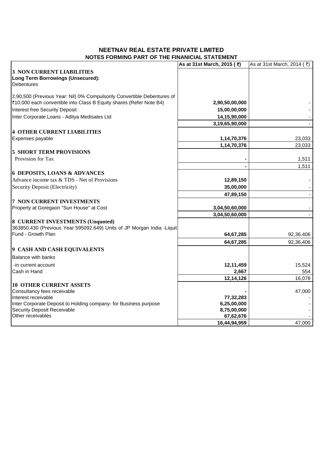## **NEETNAV REAL ESTATE PRIVATE LIMITED NOTES FORMING PART OF THE FINANICIAL STATEMENT**

|                                                                         | As at 31st March, 2015 (₹) | As at 31st March, 2014 (₹) |
|-------------------------------------------------------------------------|----------------------------|----------------------------|
| <b>3 NON CURRENT LIABILITIES</b>                                        |                            |                            |
| <b>Long Term Borrowings (Unsecured):</b>                                |                            |                            |
| <b>Debentures</b>                                                       |                            |                            |
|                                                                         |                            |                            |
| 2,90,500 (Previous Year: Nil) 0% Compulsorily Convertible Debentures of |                            |                            |
| ₹10,000 each convertible into Class B Equity shares (Refer Note B4)     | 2,90,50,00,000             |                            |
| Interest free Security Deposit                                          | 15,00,00,000               |                            |
| Inter Corporate Loans - Aditya Medisales Ltd                            | 14,15,90,000               |                            |
|                                                                         | 3,19,65,90,000             |                            |
| <b>4 OTHER CURRENT LIABILITIES</b>                                      |                            |                            |
| Expenses payable                                                        | 1,14,70,376                | 23,033                     |
|                                                                         | 1,14,70,376                | 23,033                     |
| <b>5 SHORT TERM PROVISIONS</b>                                          |                            |                            |
| Provision for Tax                                                       |                            | 1,511                      |
|                                                                         |                            | 1,511                      |
| <b>6 DEPOSITS, LOANS &amp; ADVANCES</b>                                 |                            |                            |
| Advance income tax & TDS - Net of Provisions                            | 12,89,150                  |                            |
| Security Deposit (Electricity)                                          | 35,00,000                  |                            |
|                                                                         | 47,89,150                  |                            |
| <b>7 NON CURRENT INVESTMENTS</b>                                        |                            |                            |
| Property at Goregaon "Sun House" at Cost                                | 3,04,50,60,000             |                            |
|                                                                         | 3,04,50,60,000             |                            |
| 8 CURRENT INVESTMENTS (Unquoted)                                        |                            |                            |
| 363850.430 (Previous Year 595092.649) Units of JP Morgan India -Liquit  |                            |                            |
| Fund - Growth Plan                                                      | 64,67,285                  | 92,36,406                  |
|                                                                         | 64,67,285                  | 92,36,406                  |
| 9 CASH AND CASH EQUIVALENTS                                             |                            |                            |
| <b>Balance with banks</b>                                               |                            |                            |
| -in current account                                                     | 12,11,459                  | 15,524                     |
| Cash in Hand                                                            | 2,667                      | 554                        |
|                                                                         | 12,14,126                  | 16,078                     |
| <b>10 OTHER CURRENT ASSETS</b>                                          |                            |                            |
| Consultancy fees receivable                                             |                            | 47,000                     |
| Interest receivable                                                     | 77,32,283                  |                            |
| Inter Corporate Deposit to Holding company- for Business purpose        | 6,25,00,000                |                            |
| <b>Security Deposit Receivable</b>                                      | 8,75,00,000                |                            |
| Other receivables                                                       | 67,62,676                  |                            |
|                                                                         | 16,44,94,959               | 47,000                     |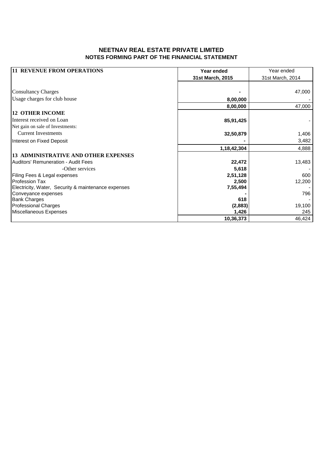## **NEETNAV REAL ESTATE PRIVATE LIMITED NOTES FORMING PART OF THE FINANICIAL STATEMENT**

| <b>11 REVENUE FROM OPERATIONS</b>                   | Year ended       | Year ended       |
|-----------------------------------------------------|------------------|------------------|
|                                                     | 31st March, 2015 | 31st March, 2014 |
|                                                     |                  |                  |
| <b>Consultancy Charges</b>                          |                  | 47,000           |
| Usage charges for club house                        | 8,00,000         |                  |
|                                                     | 8,00,000         | 47,000           |
| <b>12 OTHER INCOME</b>                              |                  |                  |
| Interest received on Loan                           | 85,91,425        |                  |
| Net gain on sale of Investments:                    |                  |                  |
| <b>Current Investments</b>                          | 32,50,879        | 1,406            |
| Interest on Fixed Deposit                           |                  | 3,482            |
|                                                     | 1,18,42,304      | 4,888            |
| <b>13 ADMINISTRATIVE AND OTHER EXPENSES</b>         |                  |                  |
| Auditors' Remuneration - Audit Fees                 | 22,472           | 13,483           |
| -Other services                                     | 5,618            |                  |
| Filing Fees & Legal expenses                        | 2,51,128         | 600              |
| <b>Profession Tax</b>                               | 2,500            | 12,200           |
| Electricity, Water, Security & maintenance expenses | 7,55,494         |                  |
| Conveyance expenses                                 |                  | 796              |
| <b>Bank Charges</b>                                 | 618              |                  |
| <b>Professional Charges</b>                         | (2,883)          | 19,100           |
| Miscellaneous Expenses                              | 1,426            | 245              |
|                                                     | 10,36,373        | 46,424           |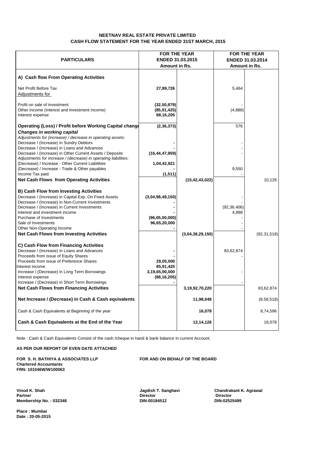#### **NEETNAV REAL ESTATE PRIVATE LIMITED CASH FLOW STATEMENT FOR THE YEAR ENDED 31ST MARCH, 2015**

|                                                                                                                                                                                                                                                                                                                              | <b>FOR THE YEAR</b>                                       |                   |                        | <b>FOR THE YEAR</b>     |
|------------------------------------------------------------------------------------------------------------------------------------------------------------------------------------------------------------------------------------------------------------------------------------------------------------------------------|-----------------------------------------------------------|-------------------|------------------------|-------------------------|
| <b>PARTICULARS</b>                                                                                                                                                                                                                                                                                                           | <b>ENDED 31.03.2015</b>                                   |                   |                        | <b>ENDED 31.03.2014</b> |
|                                                                                                                                                                                                                                                                                                                              | Amount in Rs.                                             |                   |                        | Amount in Rs.           |
| A) Cash flow From Operating Activities                                                                                                                                                                                                                                                                                       |                                                           |                   |                        |                         |
| Net Profit Before Tax<br>Adjustments for                                                                                                                                                                                                                                                                                     | 27,89,726                                                 |                   | 5,464                  |                         |
| Profit on sale of investment<br>Other Income (Interest and investment income)<br>Interest expense                                                                                                                                                                                                                            | (32, 50, 879)<br>(85, 91, 425)<br>88,16,205               |                   | (4,888)                |                         |
| Operating (Loss) / Profit before Working Capital change                                                                                                                                                                                                                                                                      | (2, 36, 373)                                              |                   | 576                    |                         |
| <b>Changes in working capital</b><br>Adjustments for (increase) / decrease in operating assets:<br>Decrease / (Increase) in Sundry Debtors<br>Decrease / (Increase) in Loans and Advances<br>Decrease / (Increase) in Other Current Assets / Deposits                                                                        | (16, 44, 47, 959)                                         |                   |                        |                         |
| Adjustments for increase / (decrease) in operating liabilities:                                                                                                                                                                                                                                                              |                                                           |                   |                        |                         |
| (Decrease) / Increase - Other Current Liabilities<br>(Decrease) / Increase - Trade & Other payables                                                                                                                                                                                                                          | 1,04,42,821                                               |                   | 9,550                  |                         |
| Income Tax paid                                                                                                                                                                                                                                                                                                              | (1, 511)                                                  |                   |                        |                         |
| <b>Net Cash Flows from Operating Activities</b>                                                                                                                                                                                                                                                                              |                                                           | (15, 42, 43, 022) |                        | 10,126                  |
| <b>B) Cash Flow from Investing Activities</b><br>Decrease / (Increase) in Capital Exp. On Fixed Assets<br>Decrease / (Increase) in Non-Current Investments<br>Decrease / (Increase) in Current Investments<br>Interest and investment income<br>Purchase of Investments<br>Sale of Investments<br>Other Non-Operating Income | (3,04,98,49,150)<br>(96,05,00,000)<br>96,65,20,000        |                   | (92, 36, 406)<br>4,888 |                         |
| <b>Net Cash Flows from Investing Activities</b>                                                                                                                                                                                                                                                                              |                                                           | (3,04,38,29,150)  |                        | (92, 31, 518)           |
| C) Cash Flow from Financing Activities<br>Decrease / (Increase) in Loans and Advances<br>Proceeds from issue of Equity Shares<br>Proceeds from issue of Preference Shares<br>Interest income<br>Increase / (Decrease) in Long Term Borrowings<br>Interest expense<br>Increase / (Decrease) in Short Term Borrowings          | 29,05,000<br>85,91,425<br>3,19,65,90,000<br>(88, 16, 205) |                   | 83,62,874              |                         |
| <b>Net Cash Flows from Financing Activities</b>                                                                                                                                                                                                                                                                              |                                                           | 3,19,92,70,220    |                        | 83,62,874               |
| Net Increase / (Decrease) in Cash & Cash equivalents                                                                                                                                                                                                                                                                         |                                                           | 11,98,048         |                        | (8,58,518)              |
| Cash & Cash Equivalents at Beginning of the year                                                                                                                                                                                                                                                                             |                                                           | 16,078            |                        | 8,74,596                |
| Cash & Cash Equivalents at the End of the Year                                                                                                                                                                                                                                                                               |                                                           | 12,14,126         |                        | 16,078                  |

Note : Cash & Cash Equivalents Consist of the cash /cheque in hand & bank balance in current Account.

#### **AS PER OUR REPORT OF EVEN DATE ATTACHED**

FOR S. H. BATHIYA & ASSOCIATES LLP **FOR AND ON BEHALF OF THE BOARD Chartered Accountants FRN: 101046W/W100063**

**Partner Director Director Membership No. : 032348 DIN:00184512 DIN:02525499**

**Vinod K. Shah Jagdish T. Sanghavi Chandrakant K. Agrawal**

**Place : Mumbai Date : 20-05-2015**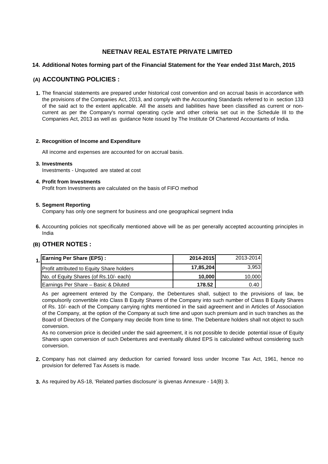#### **14. Additional Notes forming part of the Financial Statement for the Year ended 31st March, 2015**

### **(A) ACCOUNTING POLICIES :**

**1.** The financial statements are prepared under historical cost convention and on accrual basis in accordance with the provisions of the Companies Act, 2013, and comply with the Accounting Standards referred to in section 133 of the said act to the extent applicable. All the assets and liabilities have been classified as current or noncurrent as per the Company's normal operating cycle and other criteria set out in the Schedule III to the Companies Act, 2013 as well as guidance Note issued by The Institute Of Chartered Accountants of India.

#### **2. Recognition of Income and Expenditure**

All income and expenses are accounted for on accrual basis.

#### **3. Investments**

Investments - Unquoted are stated at cost

#### **4. Profit from Investments**

Profit from Investments are calculated on the basis of FIFO method

#### **5. Segment Reporting**

Company has only one segment for business and one geographical segment India

**6.** Accounting policies not specifically mentioned above will be as per generally accepted accounting principles in India

## **(B) OTHER NOTES :**

| 1 Earning Per Share (EPS) :                      | 2014-2015 | 2013-2014 |
|--------------------------------------------------|-----------|-----------|
| <b>Profit attributed to Equity Share holders</b> | 17,85,204 | 3.953     |
| No. of Equity Shares (of Rs.10/- each)           | 10.000    | 10,000    |
| Earnings Per Share - Basic & Diluted             | 178.52    | 0.40 I    |

As per agreement entered by the Company, the Debentures shall, subject to the provisions of law, be compulsorily convertible into Class B Equity Shares of the Company into such number of Class B Equity Shares of Rs. 10/- each of the Company carrying rights mentioned in the said agreement and in Articles of Association of the Company, at the option of the Company at such time and upon such premium and in such tranches as the Board of Directors of the Company may decide from time to time. The Debenture holders shall not object to such conversion.

As no conversion price is decided under the said agreement, it is not possible to decide potential issue of Equity Shares upon conversion of such Debentures and eventually diluted EPS is calculated without considering such conversion.

- **2.** Company has not claimed any deduction for carried forward loss under Income Tax Act, 1961, hence no provision for deferred Tax Assets is made.
- **3.** As required by AS-18, 'Related parties disclosure' is givenas Annexure 14(B) 3.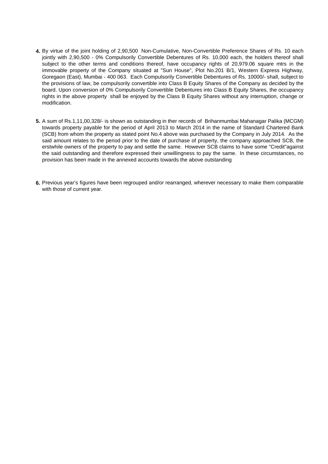- **4.** By virtue of the joint holding of 2,90,500 Non-Cumulative, Non-Convertible Preference Shares of Rs. 10 each jointly with 2,90,500 - 0% Compulsorily Convertible Debentures of Rs. 10,000 each, the holders thereof shall subject to the other terms and conditions thereof, have occupancy rights of 20,979.06 square mtrs in the immovable property of the Company situated at "Sun House", Plot No.201 B/1, Western Express Highway, Goregaon (East), Mumbai - 400 063. Each Compulsorily Convertible Debentures of Rs. 10000/- shall, subject to the provisions of law, be compulsorily convertible into Class B Equity Shares of the Company as decided by the board. Upon conversion of 0% Compulsorily Convertible Debentures into Class B Equity Shares, the occupancy rights in the above property shall be enjoyed by the Class B Equity Shares without any interruption, change or modification.
- **5.** A sum of Rs.1,11,00,328/- is shown as outstanding in ther records of Brihanmumbai Mahanagar Palika (MCGM) towards property payable for the period of April 2013 to March 2014 in the name of Standard Chartered Bank (SCB) from whom the property as stated point No.4 above was purchased by the Company in July 2014. As the said amount relates to the period prior to the date of purchase of property, the company approached SCB, the erstwhile owners of the property to pay and settle the same. However SCB claims to have some "Credit"against the said outstanding and therefore expressed their unwillingness to pay the same. In these circumstances, no provision has been made in the annexed accounts towards the above outstanding
- **6.** Previous year's figures have been regrouped and/or rearranged, wherever necessary to make them comparable with those of current year.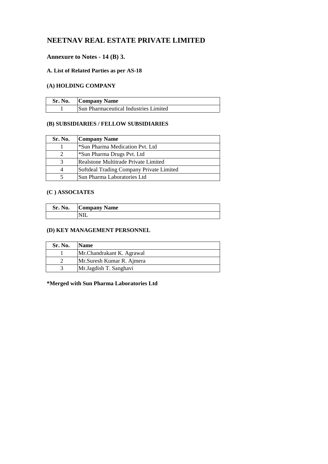## **Annexure to Notes - 14 (B) 3.**

### **A. List of Related Parties as per AS-18**

## **(A) HOLDING COMPANY**

| Sr. No. | <b>Company Name</b>                          |
|---------|----------------------------------------------|
|         | <b>Sun Pharmaceutical Industries Limited</b> |

## **(B) SUBSIDIARIES / FELLOW SUBSIDIARIES**

| Sr. No.  | <b>Company Name</b>                      |
|----------|------------------------------------------|
|          | *Sun Pharma Medication Pvt. Ltd          |
| 2        | *Sun Pharma Drugs Pvt. Ltd               |
| 3        | Realstone Multitrade Private Limited     |
| $\Delta$ | Softdeal Trading Company Private Limited |
|          | Sun Pharma Laboratories Ltd              |

## **(C ) ASSOCIATES**

| Sr. No. | <b>Company Name</b> |
|---------|---------------------|
|         |                     |

## **(D) KEY MANAGEMENT PERSONNEL**

| Sr. No. | <b>Name</b>               |
|---------|---------------------------|
|         | Mr.Chandrakant K. Agrawal |
|         | Mr.Suresh Kumar R. Ajmera |
|         | Mr.Jagdish T. Sanghavi    |

## **\*Merged with Sun Pharma Laboratories Ltd**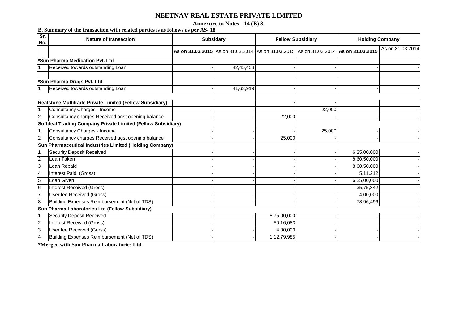**Annexure to Notes - 14 (B) 3.**

**B. Summary of the transaction with related parties is as follows as per AS- 18**

| Sr.<br><b>Nature of transaction</b><br>No.                                                                                                      | <b>Subsidary</b> |                                                                                      | <b>Fellow Subsidiary</b> |        | <b>Holding Company</b> |                  |
|-------------------------------------------------------------------------------------------------------------------------------------------------|------------------|--------------------------------------------------------------------------------------|--------------------------|--------|------------------------|------------------|
|                                                                                                                                                 |                  | As on 31.03.2015 As on 31.03.2014 As on 31.03.2015 As on 31.03.2014 As on 31.03.2015 |                          |        |                        | As on 31.03.2014 |
| *Sun Pharma Medication Pvt. Ltd                                                                                                                 |                  |                                                                                      |                          |        |                        |                  |
| Received towards outstanding Loan                                                                                                               |                  | 42,45,458                                                                            |                          |        |                        |                  |
| *Sun Pharma Drugs Pvt. Ltd                                                                                                                      |                  |                                                                                      |                          |        |                        |                  |
| Received towards outstanding Loan<br>$\overline{1}$                                                                                             |                  | 41,63,919                                                                            |                          |        |                        |                  |
|                                                                                                                                                 |                  |                                                                                      |                          |        |                        |                  |
| Realstone Multitrade Private Limited (Fellow Subsidiary)                                                                                        |                  |                                                                                      |                          |        |                        |                  |
| Consultancy Charges - Income<br>l 1                                                                                                             |                  |                                                                                      |                          | 22,000 |                        |                  |
| Consultancy charges Received agst opening balance<br>$\overline{2}$                                                                             |                  |                                                                                      | 22,000                   |        |                        |                  |
| <b>Softdeal Trading Company Private Limited (Fellow Subsidiary)</b>                                                                             |                  |                                                                                      |                          |        |                        |                  |
| Consultancy Charges - Income<br>11                                                                                                              |                  |                                                                                      |                          | 25,000 |                        |                  |
| $\overline{2}$<br>Consultancy charges Received agst opening balance                                                                             |                  |                                                                                      | 25,000                   |        |                        |                  |
| Sun Pharmaceutical Industries Limited (Holding Company)                                                                                         |                  |                                                                                      |                          |        |                        |                  |
| <b>Security Deposit Received</b><br>  1                                                                                                         |                  |                                                                                      |                          |        | 6,25,00,000            |                  |
| $\overline{2}$<br>Loan Taken                                                                                                                    |                  |                                                                                      |                          |        | 8,60,50,000            |                  |
| Ι3<br>Loan Repaid                                                                                                                               |                  |                                                                                      |                          |        | 8,60,50,000            |                  |
| Interest Paid (Gross)<br>$\overline{4}$                                                                                                         |                  |                                                                                      |                          |        | 5, 11, 212             |                  |
| 5<br>Loan Given                                                                                                                                 |                  |                                                                                      |                          |        | 6,25,00,000            |                  |
| 6<br><b>Interest Received (Gross)</b>                                                                                                           |                  |                                                                                      |                          |        | 35,75,342              |                  |
| User fee Received (Gross)<br>17                                                                                                                 |                  |                                                                                      |                          |        | 4,00,000               |                  |
| Building Expenses Reimbursement (Net of TDS)<br>$\boldsymbol{8}$                                                                                |                  |                                                                                      |                          |        | 78,96,496              |                  |
| Sun Pharma Laboratories Ltd (Fellow Subsidiary)                                                                                                 |                  |                                                                                      |                          |        |                        |                  |
| <b>Security Deposit Received</b><br>$\vert$ 1                                                                                                   |                  |                                                                                      | 8,75,00,000              |        |                        |                  |
| $\overline{2}$<br><b>Interest Received (Gross)</b>                                                                                              |                  |                                                                                      | 50,16,083                |        |                        |                  |
| $\overline{3}$<br>User fee Received (Gross)                                                                                                     |                  |                                                                                      | 4,00,000                 |        |                        |                  |
| Building Expenses Reimbursement (Net of TDS)<br>4<br>$\mathbf{r}$ and $\mathbf{r}$<br>$\mathbf{r}$ , $\mathbf{r}$ , $\mathbf{r}$ , $\mathbf{r}$ |                  |                                                                                      | 1,12,79,985              |        |                        |                  |

**\*Merged with Sun Pharma Laboratories Ltd**